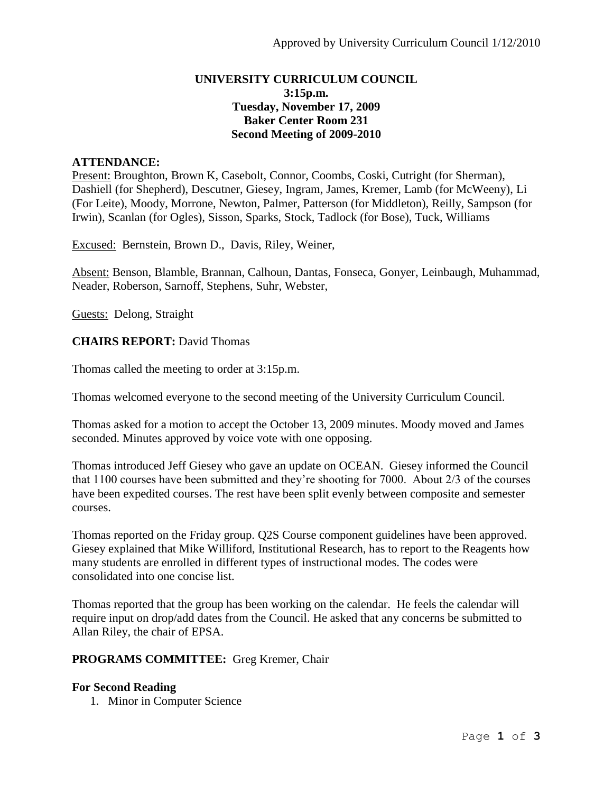## **UNIVERSITY CURRICULUM COUNCIL 3:15p.m. Tuesday, November 17, 2009 Baker Center Room 231 Second Meeting of 2009-2010**

## **ATTENDANCE:**

Present: Broughton, Brown K, Casebolt, Connor, Coombs, Coski, Cutright (for Sherman), Dashiell (for Shepherd), Descutner, Giesey, Ingram, James, Kremer, Lamb (for McWeeny), Li (For Leite), Moody, Morrone, Newton, Palmer, Patterson (for Middleton), Reilly, Sampson (for Irwin), Scanlan (for Ogles), Sisson, Sparks, Stock, Tadlock (for Bose), Tuck, Williams

Excused: Bernstein, Brown D., Davis, Riley, Weiner,

Absent: Benson, Blamble, Brannan, Calhoun, Dantas, Fonseca, Gonyer, Leinbaugh, Muhammad, Neader, Roberson, Sarnoff, Stephens, Suhr, Webster,

Guests: Delong, Straight

**CHAIRS REPORT:** David Thomas

Thomas called the meeting to order at 3:15p.m.

Thomas welcomed everyone to the second meeting of the University Curriculum Council.

Thomas asked for a motion to accept the October 13, 2009 minutes. Moody moved and James seconded. Minutes approved by voice vote with one opposing.

Thomas introduced Jeff Giesey who gave an update on OCEAN. Giesey informed the Council that 1100 courses have been submitted and they're shooting for 7000. About 2/3 of the courses have been expedited courses. The rest have been split evenly between composite and semester courses.

Thomas reported on the Friday group. Q2S Course component guidelines have been approved. Giesey explained that Mike Williford, Institutional Research, has to report to the Reagents how many students are enrolled in different types of instructional modes. The codes were consolidated into one concise list.

Thomas reported that the group has been working on the calendar. He feels the calendar will require input on drop/add dates from the Council. He asked that any concerns be submitted to Allan Riley, the chair of EPSA.

#### **PROGRAMS COMMITTEE:** Greg Kremer, Chair

#### **For Second Reading**

1. Minor in Computer Science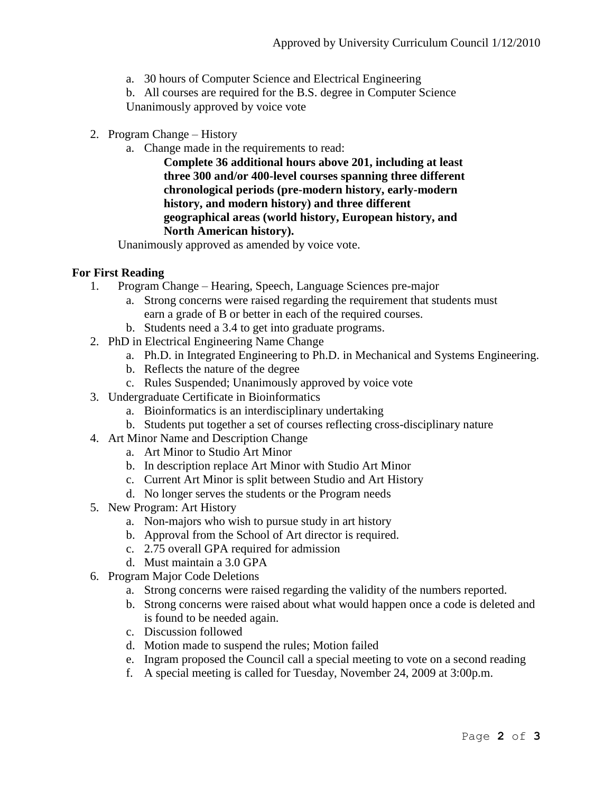a. 30 hours of Computer Science and Electrical Engineering

b. All courses are required for the B.S. degree in Computer Science Unanimously approved by voice vote

- 2. Program Change History
	- a. Change made in the requirements to read:

**Complete 36 additional hours above 201, including at least three 300 and/or 400-level courses spanning three different chronological periods (pre-modern history, early-modern history, and modern history) and three different geographical areas (world history, European history, and North American history).**

Unanimously approved as amended by voice vote.

# **For First Reading**

- 1. Program Change Hearing, Speech, Language Sciences pre-major
	- a. Strong concerns were raised regarding the requirement that students must earn a grade of B or better in each of the required courses.
	- b. Students need a 3.4 to get into graduate programs.
- 2. PhD in Electrical Engineering Name Change
	- a. Ph.D. in Integrated Engineering to Ph.D. in Mechanical and Systems Engineering.
	- b. Reflects the nature of the degree
	- c. Rules Suspended; Unanimously approved by voice vote
- 3. Undergraduate Certificate in Bioinformatics
	- a. Bioinformatics is an interdisciplinary undertaking
	- b. Students put together a set of courses reflecting cross-disciplinary nature
- 4. Art Minor Name and Description Change
	- a. Art Minor to Studio Art Minor
	- b. In description replace Art Minor with Studio Art Minor
	- c. Current Art Minor is split between Studio and Art History
	- d. No longer serves the students or the Program needs
- 5. New Program: Art History
	- a. Non-majors who wish to pursue study in art history
	- b. Approval from the School of Art director is required.
	- c. 2.75 overall GPA required for admission
	- d. Must maintain a 3.0 GPA
- 6. Program Major Code Deletions
	- a. Strong concerns were raised regarding the validity of the numbers reported.
	- b. Strong concerns were raised about what would happen once a code is deleted and is found to be needed again.
	- c. Discussion followed
	- d. Motion made to suspend the rules; Motion failed
	- e. Ingram proposed the Council call a special meeting to vote on a second reading
	- f. A special meeting is called for Tuesday, November 24, 2009 at 3:00p.m.